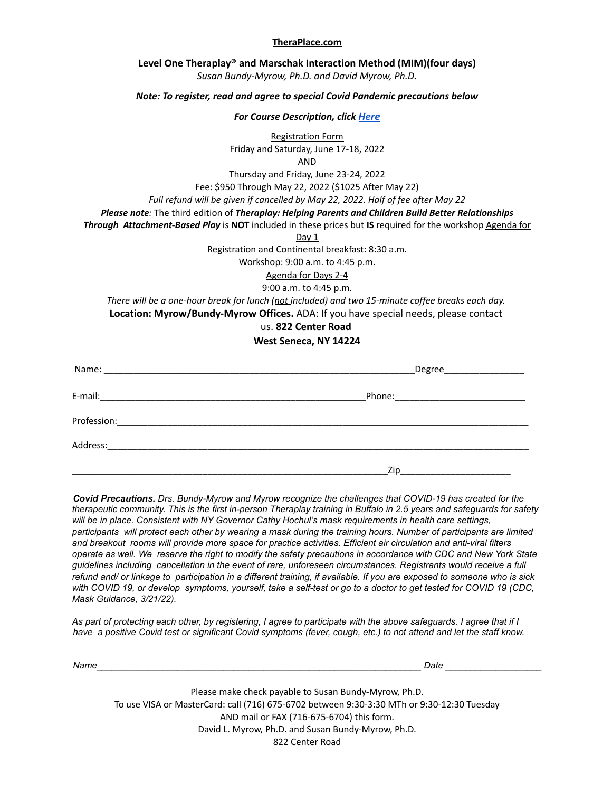#### **TheraPlace.com**

**Level One Theraplay® and Marschak Interaction Method (MIM)(four days)** *Susan Bundy-Myrow, Ph.D. and David Myrow, Ph.D.*

*Note: To register, read and agree to special Covid Pandemic precautions below*

*For Course Description, click [Here](https://theraplace.com/level-one-theraplay-marschak-interaction-method-mim/)*

Registration Form

Friday and Saturday, June 17-18, 2022

AND

Thursday and Friday, June 23-24, 2022

Fee: \$950 Through May 22, 2022 (\$1025 After May 22)

*Full refund will be given if cancelled by May 22, 2022. Half of fee after May 22*

*Please note:* The third edition of *Theraplay: Helping Parents and Children Build Better Relationships*

*Through Attachment-Based Play* is **NOT** included in these prices but **IS** required for the workshop Agenda for

Day 1

Registration and Continental breakfast: 8:30 a.m.

Workshop: 9:00 a.m. to 4:45 p.m.

Agenda for Days 2-4

9:00 a.m. to 4:45 p.m.

*There will be a one-hour break for lunch (not included) and two 15-minute coffee breaks each day.*

**Location: Myrow/Bundy-Myrow Offices.** ADA: If you have special needs, please contact

#### us. **822 Center Road**

#### **West Seneca, NY 14224**

|             | _Degree____________________ |
|-------------|-----------------------------|
|             |                             |
| Profession: |                             |
|             |                             |
|             | Zip                         |

*Covid Precautions. Drs. Bundy-Myrow and Myrow recognize the challenges that COVID-19 has created for the* therapeutic community. This is the first in-person Theraplay training in Buffalo in 2.5 years and safeguards for safety *will be in place. Consistent with NY Governor Cathy Hochul's mask requirements in health care settings,* participants will protect each other by wearing a mask during the training hours. Number of participants are limited and breakout rooms will provide more space for practice activities. Efficient air circulation and anti-viral filters operate as well. We reserve the right to modify the safety precautions in accordance with CDC and New York State *guidelines including cancellation in the event of rare, unforeseen circumstances. Registrants would receive a full* refund and/ or linkage to participation in a different training, if available. If you are exposed to someone who is sick with COVID 19, or develop symptoms, yourself, take a self-test or go to a doctor to get tested for COVID 19 (CDC, *Mask Guidance, 3/21/22).*

As part of protecting each other, by registering, I agree to participate with the above safeguards. I agree that if I have a positive Covid test or significant Covid symptoms (fever, cough, etc.) to not attend and let the staff know.

*Name\_\_\_\_\_\_\_\_\_\_\_\_\_\_\_\_\_\_\_\_\_\_\_\_\_\_\_\_\_\_\_\_\_\_\_\_\_\_\_\_\_\_\_\_\_\_\_\_\_\_\_\_\_\_\_\_\_\_\_\_\_\_\_\_ Date \_\_\_\_\_\_\_\_\_\_\_\_\_\_\_\_\_\_\_*

Please make check payable to Susan Bundy-Myrow, Ph.D. To use VISA or MasterCard: call (716) 675-6702 between 9:30-3:30 MTh or 9:30-12:30 Tuesday AND mail or FAX (716-675-6704) this form. David L. Myrow, Ph.D. and Susan Bundy-Myrow, Ph.D. 822 Center Road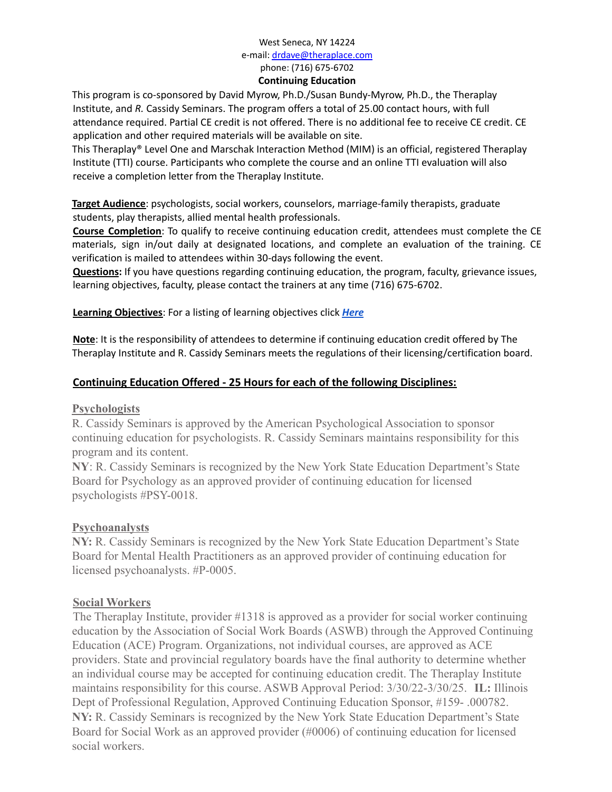# West Seneca, NY 14224

e-mail: drdave@theraplace.com

### phone: (716) 675-6702

### **Continuing Education**

This program is co-sponsored by David Myrow, Ph.D./Susan Bundy-Myrow, Ph.D., the Theraplay Institute, and *R.* Cassidy Seminars. The program offers a total of 25.00 contact hours, with full attendance required. Partial CE credit is not offered. There is no additional fee to receive CE credit. CE application and other required materials will be available on site.

This Theraplay® Level One and Marschak Interaction Method (MIM) is an official, registered Theraplay Institute (TTI) course. Participants who complete the course and an online TTI evaluation will also receive a completion letter from the Theraplay Institute.

**Target Audience**: psychologists, social workers, counselors, marriage-family therapists, graduate students, play therapists, allied mental health professionals.

**Course Completion**: To qualify to receive continuing education credit, attendees must complete the CE materials, sign in/out daily at designated locations, and complete an evaluation of the training. CE verification is mailed to attendees within 30-days following the event.

**Questions:** If you have questions regarding continuing education, the program, faculty, grievance issues, learning objectives, faculty, please contact the trainers at any time (716) 675-6702.

**Learning Objectives**: For a listing of learning objectives click *[Here](https://theraplace.com/level-one-theraplay-marschak-interaction-method-mim/)*

**Note**: It is the responsibility of attendees to determine if continuing education credit offered by The Theraplay Institute and R. Cassidy Seminars meets the regulations of their licensing/certification board.

## **Continuing Education Offered - 25 Hours for each of the following Disciplines:**

## **Psychologists**

R. Cassidy Seminars is approved by the American Psychological Association to sponsor continuing education for psychologists. R. Cassidy Seminars maintains responsibility for this program and its content.

**NY**: R. Cassidy Seminars is recognized by the New York State Education Department's State Board for Psychology as an approved provider of continuing education for licensed psychologists #PSY-0018.

## **Psychoanalysts**

**NY:** R. Cassidy Seminars is recognized by the New York State Education Department's State Board for Mental Health Practitioners as an approved provider of continuing education for licensed psychoanalysts. #P-0005.

## **Social Workers**

The Theraplay Institute, provider #1318 is approved as a provider for social worker continuing education by the Association of Social Work Boards (ASWB) through the Approved Continuing Education (ACE) Program. Organizations, not individual courses, are approved as ACE providers. State and provincial regulatory boards have the final authority to determine whether an individual course may be accepted for continuing education credit. The Theraplay Institute maintains responsibility for this course. ASWB Approval Period: 3/30/22-3/30/25. **IL:** Illinois Dept of Professional Regulation, Approved Continuing Education Sponsor, #159- .000782. **NY:** R. Cassidy Seminars is recognized by the New York State Education Department's State Board for Social Work as an approved provider (#0006) of continuing education for licensed social workers.